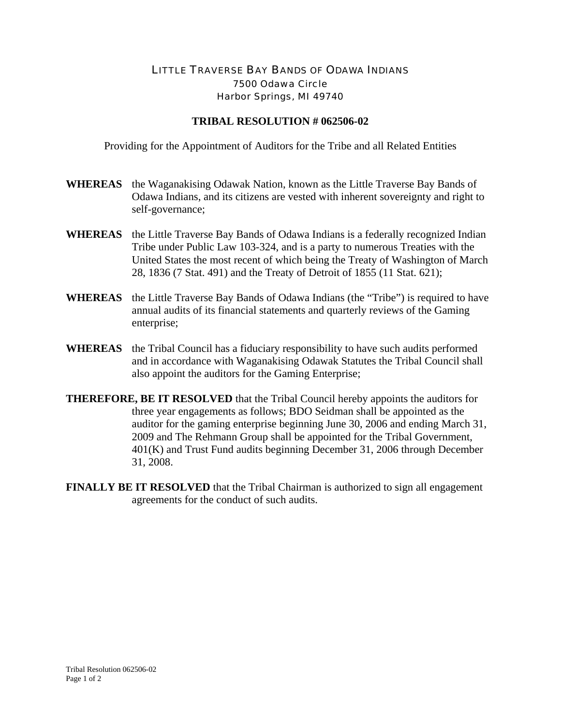## LITTLE TRAVERSE BAY BANDS OF ODAWA INDIANS 7500 Odawa Circle Harbor Springs, MI 49740

## **TRIBAL RESOLUTION # 062506-02**

Providing for the Appointment of Auditors for the Tribe and all Related Entities

- **WHEREAS** the Waganakising Odawak Nation, known as the Little Traverse Bay Bands of Odawa Indians, and its citizens are vested with inherent sovereignty and right to self-governance;
- **WHEREAS** the Little Traverse Bay Bands of Odawa Indians is a federally recognized Indian Tribe under Public Law 103-324, and is a party to numerous Treaties with the United States the most recent of which being the Treaty of Washington of March 28, 1836 (7 Stat. 491) and the Treaty of Detroit of 1855 (11 Stat. 621);
- **WHEREAS** the Little Traverse Bay Bands of Odawa Indians (the "Tribe") is required to have annual audits of its financial statements and quarterly reviews of the Gaming enterprise;
- **WHEREAS** the Tribal Council has a fiduciary responsibility to have such audits performed and in accordance with Waganakising Odawak Statutes the Tribal Council shall also appoint the auditors for the Gaming Enterprise;
- **THEREFORE, BE IT RESOLVED** that the Tribal Council hereby appoints the auditors for three year engagements as follows; BDO Seidman shall be appointed as the auditor for the gaming enterprise beginning June 30, 2006 and ending March 31, 2009 and The Rehmann Group shall be appointed for the Tribal Government, 401(K) and Trust Fund audits beginning December 31, 2006 through December 31, 2008.
- **FINALLY BE IT RESOLVED** that the Tribal Chairman is authorized to sign all engagement agreements for the conduct of such audits.